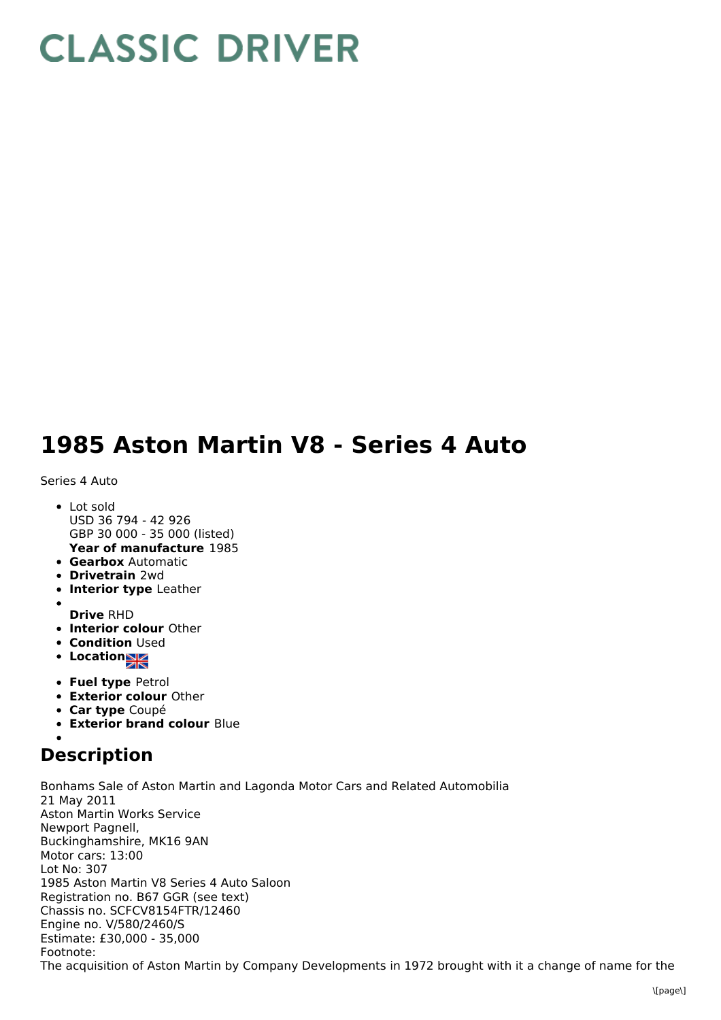## **CLASSIC DRIVER**

## **1985 Aston Martin V8 - Series 4 Auto**

Series 4 Auto

- **Year of manufacture** 1985 • Lot sold USD 36 794 - 42 926 GBP 30 000 - 35 000 (listed)
- **Gearbox** Automatic
- **Drivetrain** 2wd
- **Interior type** Leather
- 
- **Drive** RHD
- **Interior colour** Other
- **Condition Used**
- Location
- **Fuel type** Petrol
- **Exterior colour** Other
- **Car type** Coupé
- **Exterior brand colour** Blue

## **Description**

Bonhams Sale of Aston Martin and Lagonda Motor Cars and Related Automobilia 21 May 2011 Aston Martin Works Service Newport Pagnell, Buckinghamshire, MK16 9AN Motor cars: 13:00 Lot No: 307 1985 Aston Martin V8 Series 4 Auto Saloon Registration no. B67 GGR (see text) Chassis no. SCFCV8154FTR/12460 Engine no. V/580/2460/S Estimate: £30,000 - 35,000 Footnote: The acquisition of Aston Martin by Company Developments in 1972 brought with it a change of name for the